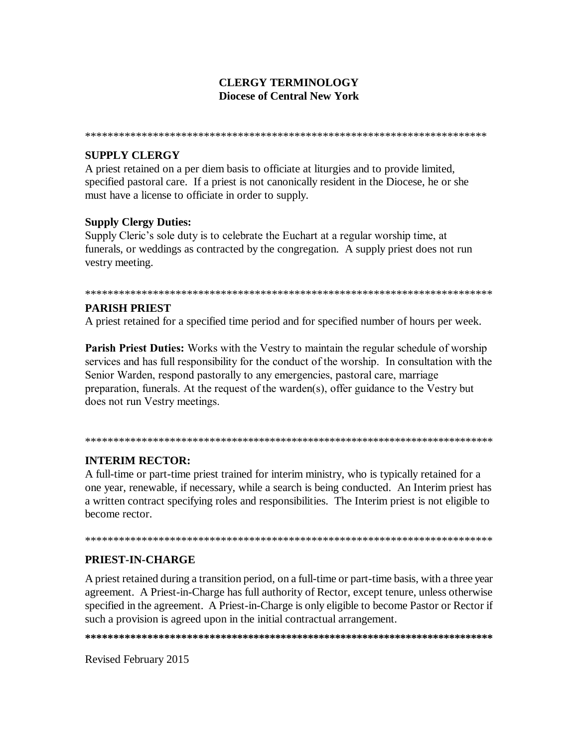# **CLERGY TERMINOLOGY Diocese of Central New York**

# **SUPPLY CLERGY**

A priest retained on a per diem basis to officiate at liturgies and to provide limited, specified pastoral care. If a priest is not canonically resident in the Diocese, he or she must have a license to officiate in order to supply.

### **Supply Clergy Duties:**

Supply Cleric's sole duty is to celebrate the Euchart at a regular worship time, at funerals, or weddings as contracted by the congregation. A supply priest does not run vestry meeting.

#### 

### **PARISH PRIEST**

A priest retained for a specified time period and for specified number of hours per week.

**Parish Priest Duties:** Works with the Vestry to maintain the regular schedule of worship services and has full responsibility for the conduct of the worship. In consultation with the Senior Warden, respond pastorally to any emergencies, pastoral care, marriage preparation, funerals. At the request of the warden(s), offer guidance to the Vestry but does not run Vestry meetings.

#### 

# **INTERIM RECTOR:**

A full-time or part-time priest trained for interim ministry, who is typically retained for a one year, renewable, if necessary, while a search is being conducted. An Interim priest has a written contract specifying roles and responsibilities. The Interim priest is not eligible to become rector.

#### 

# PRIEST-IN-CHARGE

A priest retained during a transition period, on a full-time or part-time basis, with a three year agreement. A Priest-in-Charge has full authority of Rector, except tenure, unless otherwise specified in the agreement. A Priest-in-Charge is only eligible to become Pastor or Rector if such a provision is agreed upon in the initial contractual arrangement.

Revised February 2015